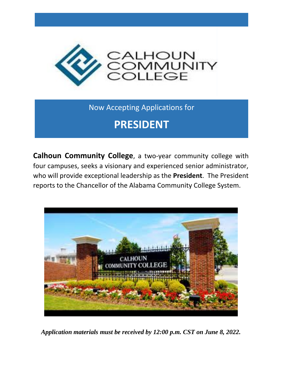

Now Accepting Applications for

## **PRESIDENT**

**Calhoun Community College**, a two-year community college with four campuses, seeks a visionary and experienced senior administrator, who will provide exceptional leadership as the **President**. The President reports to the Chancellor of the Alabama Community College System.



*Application materials must be received by 12:00 p.m. CST on June 8, 2022.*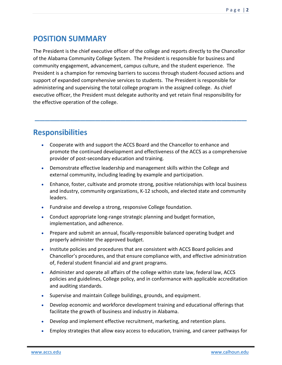#### **POSITION SUMMARY**

The President is the chief executive officer of the college and reports directly to the Chancellor of the Alabama Community College System. The President is responsible for business and community engagement, advancement, campus culture, and the student experience. The President is a champion for removing barriers to success through student-focused actions and support of expanded comprehensive services to students. The President is responsible for administering and supervising the total college program in the assigned college. As chief executive officer, the President must delegate authority and yet retain final responsibility for the effective operation of the college.

\_\_\_\_\_\_\_\_\_\_\_\_\_\_\_\_\_\_\_\_\_\_\_\_\_\_\_\_\_\_\_\_\_\_\_\_\_\_\_\_\_\_

#### **Responsibilities**

- Cooperate with and support the ACCS Board and the Chancellor to enhance and promote the continued development and effectiveness of the ACCS as a comprehensive provider of post-secondary education and training.
- Demonstrate effective leadership and management skills within the College and external community, including leading by example and participation.
- Enhance, foster, cultivate and promote strong, positive relationships with local business and industry, community organizations, K-12 schools, and elected state and community leaders.
- Fundraise and develop a strong, responsive College foundation.
- Conduct appropriate long-range strategic planning and budget formation, implementation, and adherence.
- Prepare and submit an annual, fiscally-responsible balanced operating budget and properly administer the approved budget.
- Institute policies and procedures that are consistent with ACCS Board policies and Chancellor's procedures, and that ensure compliance with, and effective administration of, Federal student financial aid and grant programs.
- Administer and operate all affairs of the college within state law, federal law, ACCS policies and guidelines, College policy, and in conformance with applicable accreditation and auditing standards.
- Supervise and maintain College buildings, grounds, and equipment.
- Develop economic and workforce development training and educational offerings that facilitate the growth of business and industry in Alabama.
- Develop and implement effective recruitment, marketing, and retention plans.
- Employ strategies that allow easy access to education, training, and career pathways for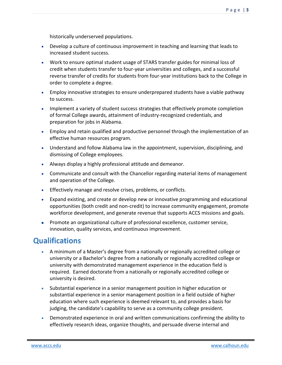historically underserved populations.

- Develop a culture of continuous improvement in teaching and learning that leads to increased student success.
- Work to ensure optimal student usage of STARS transfer guides for minimal loss of credit when students transfer to four-year universities and colleges, and a successful reverse transfer of credits for students from four-year institutions back to the College in order to complete a degree.
- Employ innovative strategies to ensure underprepared students have a viable pathway to success.
- Implement a variety of student success strategies that effectively promote completion of formal College awards, attainment of industry-recognized credentials, and preparation for jobs in Alabama.
- Employ and retain qualified and productive personnel through the implementation of an effective human resources program.
- Understand and follow Alabama law in the appointment, supervision, disciplining, and dismissing of College employees.
- Always display a highly professional attitude and demeanor.
- Communicate and consult with the Chancellor regarding material items of management and operation of the College.
- Effectively manage and resolve crises, problems, or conflicts.
- Expand existing, and create or develop new or innovative programming and educational opportunities (both credit and non-credit) to increase community engagement, promote workforce development, and generate revenue that supports ACCS missions and goals.
- Promote an organizational culture of professional excellence, customer service, innovation, quality services, and continuous improvement.

## **Qualifications**

- A minimum of a Master's degree from a nationally or regionally accredited college or university or a Bachelor's degree from a nationally or regionally accredited college or university with demonstrated management experience in the education field is required. Earned doctorate from a nationally or regionally accredited college or university is desired.
- Substantial experience in a senior management position in higher education or substantial experience in a senior management position in a field outside of higher education where such experience is deemed relevant to, and provides a basis for judging, the candidate's capability to serve as a community college president.
- Demonstrated experience in oral and written communications confirming the ability to effectively research ideas, organize thoughts, and persuade diverse internal and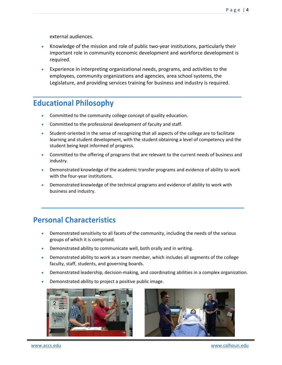external audiences.

- Knowledge of the mission and role of public two-year institutions, particularly their important role in community economic development and workforce development is required.
- Experience in interpreting organizational needs, programs, and activities to the employees, community organizations and agencies, area school systems, the Legislature, and providing services training for business and industry is required.

 $\frac{1}{2}$  ,  $\frac{1}{2}$  ,  $\frac{1}{2}$  ,  $\frac{1}{2}$  ,  $\frac{1}{2}$  ,  $\frac{1}{2}$  ,  $\frac{1}{2}$  ,  $\frac{1}{2}$  ,  $\frac{1}{2}$  ,  $\frac{1}{2}$  ,  $\frac{1}{2}$  ,  $\frac{1}{2}$  ,  $\frac{1}{2}$  ,  $\frac{1}{2}$  ,  $\frac{1}{2}$  ,  $\frac{1}{2}$  ,  $\frac{1}{2}$  ,  $\frac{1}{2}$  ,  $\frac{1$ 

#### **Educational Philosophy**

- Committed to the community college concept of quality education.
- Committed to the professional development of faculty and staff.
- Student-oriented in the sense of recognizing that all aspects of the college are to facilitate learning and student development, with the student obtaining a level of competency and the student being kept informed of progress.
- Committed to the offering of programs that are relevant to the current needs of business and industry.
- Demonstrated knowledge of the academic transfer programs and evidence of ability to work with the four-year institutions.

 $\frac{1}{2}$  ,  $\frac{1}{2}$  ,  $\frac{1}{2}$  ,  $\frac{1}{2}$  ,  $\frac{1}{2}$  ,  $\frac{1}{2}$  ,  $\frac{1}{2}$  ,  $\frac{1}{2}$  ,  $\frac{1}{2}$  ,  $\frac{1}{2}$  ,  $\frac{1}{2}$  ,  $\frac{1}{2}$  ,  $\frac{1}{2}$  ,  $\frac{1}{2}$  ,  $\frac{1}{2}$  ,  $\frac{1}{2}$  ,  $\frac{1}{2}$  ,  $\frac{1}{2}$  ,  $\frac{1$ 

• Demonstrated knowledge of the technical programs and evidence of ability to work with business and industry.

## **Personal Characteristics**

- Demonstrated sensitivity to all facets of the community, including the needs of the various groups of which it is comprised.
- Demonstrated ability to communicate well, both orally and in writing.
- Demonstrated ability to work as a team member, which includes all segments of the college faculty, staff, students, and governing boards.
- Demonstrated leadership, decision-making, and coordinating abilities in a complex organization.
- Demonstrated ability to project a positive public image.



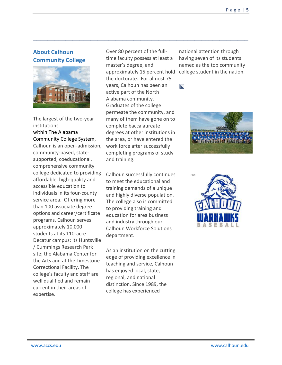#### **About Calhoun Community College**



The largest of the two-year institutions within The [Alabama](https://www.accs.edu/)  [Community College System,](https://www.accs.edu/) Calhoun is an open-admission, community-based, statesupported, coeducational, comprehensive community college dedicated to providing affordable, high-quality and accessible education to individuals in its four-county service area. Offering more than 100 associate degree options and career/certificate programs, Calhoun serves approximately 10,000 students at its 110-acre Decatur campus; its Huntsville / Cummings Research Park site; the Alabama Center for the Arts and at the Limestone Correctional Facility. The college's faculty and staff are well qualified and remain current in their areas of expertise.

Over 80 percent of the fulltime faculty possess at least a master's degree, and approximately 15 percent hold the doctorate. For almost 75 years, Calhoun has been an active part of the North Alabama community. Graduates of the college permeate the community, and many of them have gone on to complete baccalaureate degrees at other institutions in the area, or have entered the work force after successfully completing programs of study and training.

 $\_$  , and the set of the set of the set of the set of the set of the set of the set of the set of the set of the set of the set of the set of the set of the set of the set of the set of the set of the set of the set of th

Calhoun successfully continues to meet the educational and training demands of a unique and highly diverse population. The college also is committed to providing training and education for area business and industry through our Calhoun Workforce Solutions department.

As an institution on the cutting edge of providing excellence in teaching and service, Calhoun has enjoyed local, state, regional, and national distinction. Since 1989, the college has experienced

national attention through having seven of its students named as the top community college student in the nation.

回